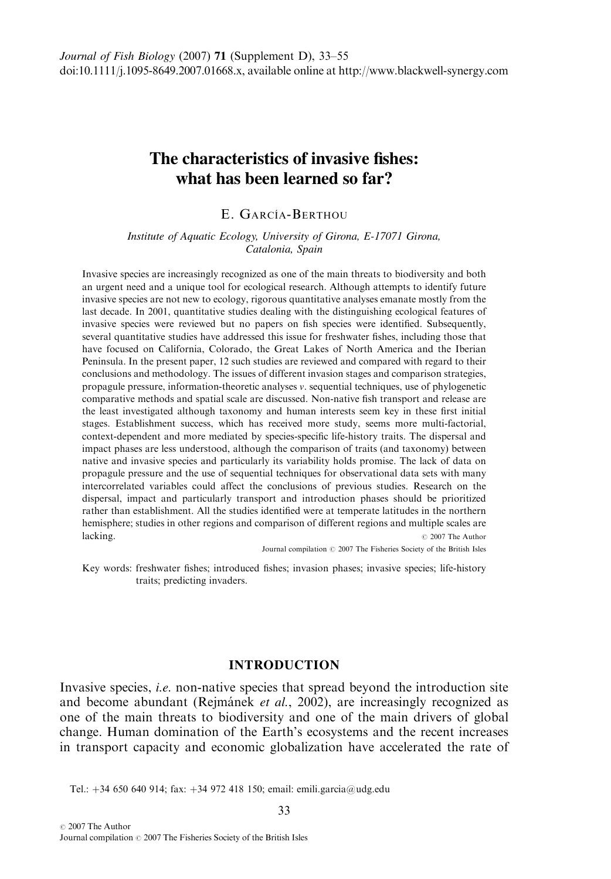# The characteristics of invasive fishes: what has been learned so far?

## E. GARCÍA-BERTHOU

Institute of Aquatic Ecology, University of Girona, E-17071 Girona, Catalonia, Spain

Invasive species are increasingly recognized as one of the main threats to biodiversity and both an urgent need and a unique tool for ecological research. Although attempts to identify future invasive species are not new to ecology, rigorous quantitative analyses emanate mostly from the last decade. In 2001, quantitative studies dealing with the distinguishing ecological features of invasive species were reviewed but no papers on fish species were identified. Subsequently, several quantitative studies have addressed this issue for freshwater fishes, including those that have focused on California, Colorado, the Great Lakes of North America and the Iberian Peninsula. In the present paper, 12 such studies are reviewed and compared with regard to their conclusions and methodology. The issues of different invasion stages and comparison strategies, propagule pressure, information-theoretic analyses v. sequential techniques, use of phylogenetic comparative methods and spatial scale are discussed. Non-native fish transport and release are the least investigated although taxonomy and human interests seem key in these first initial stages. Establishment success, which has received more study, seems more multi-factorial, context-dependent and more mediated by species-specific life-history traits. The dispersal and impact phases are less understood, although the comparison of traits (and taxonomy) between native and invasive species and particularly its variability holds promise. The lack of data on propagule pressure and the use of sequential techniques for observational data sets with many intercorrelated variables could affect the conclusions of previous studies. Research on the dispersal, impact and particularly transport and introduction phases should be prioritized rather than establishment. All the studies identified were at temperate latitudes in the northern hemisphere; studies in other regions and comparison of different regions and multiple scales are lacking.  $\degree$  2007 The Author

Journal compilation  $\oslash$  2007 The Fisheries Society of the British Isles

Key words: freshwater fishes; introduced fishes; invasion phases; invasive species; life-history traits; predicting invaders.

## INTRODUCTION

Invasive species, *i.e.* non-native species that spread beyond the introduction site and become abundant (Rejmanek *et al.*, 2002), are increasingly recognized as one of the main threats to biodiversity and one of the main drivers of global change. Human domination of the Earth's ecosystems and the recent increases in transport capacity and economic globalization have accelerated the rate of

Tel.:  $+34 650 640 914$ ; fax:  $+34 972 418 150$ ; email: emili.garcia@udg.edu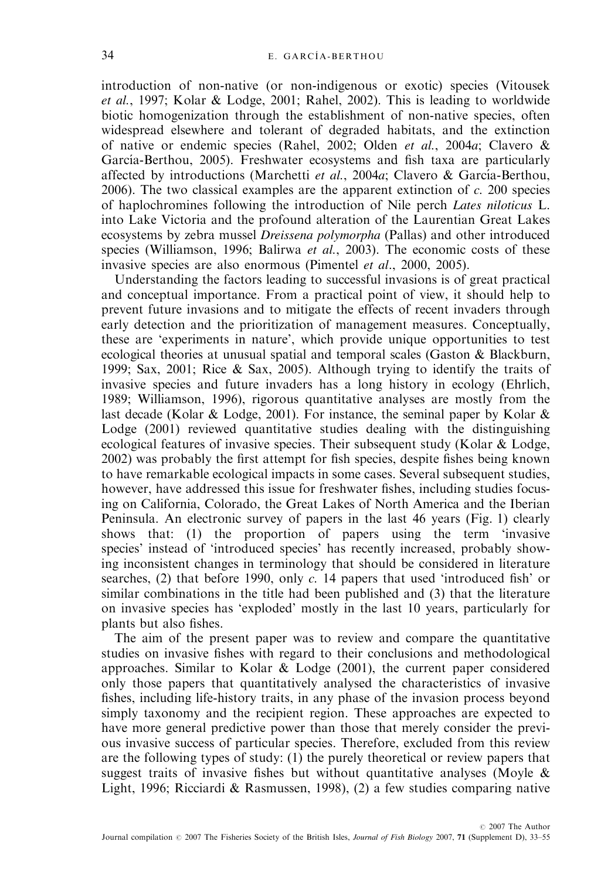introduction of non-native (or non-indigenous or exotic) species (Vitousek et al., 1997; Kolar & Lodge, 2001; Rahel, 2002). This is leading to worldwide biotic homogenization through the establishment of non-native species, often widespread elsewhere and tolerant of degraded habitats, and the extinction of native or endemic species (Rahel, 2002; Olden et al., 2004a; Clavero & García-Berthou, 2005). Freshwater ecosystems and fish taxa are particularly affected by introductions (Marchetti et al., 2004a; Clavero & García-Berthou, 2006). The two classical examples are the apparent extinction of  $c$ . 200 species of haplochromines following the introduction of Nile perch Lates niloticus L. into Lake Victoria and the profound alteration of the Laurentian Great Lakes ecosystems by zebra mussel Dreissena polymorpha (Pallas) and other introduced species (Williamson, 1996; Balirwa *et al.*, 2003). The economic costs of these invasive species are also enormous (Pimentel et al., 2000, 2005).

Understanding the factors leading to successful invasions is of great practical and conceptual importance. From a practical point of view, it should help to prevent future invasions and to mitigate the effects of recent invaders through early detection and the prioritization of management measures. Conceptually, these are 'experiments in nature', which provide unique opportunities to test ecological theories at unusual spatial and temporal scales (Gaston & Blackburn, 1999; Sax, 2001; Rice & Sax, 2005). Although trying to identify the traits of invasive species and future invaders has a long history in ecology (Ehrlich, 1989; Williamson, 1996), rigorous quantitative analyses are mostly from the last decade (Kolar & Lodge, 2001). For instance, the seminal paper by Kolar & Lodge (2001) reviewed quantitative studies dealing with the distinguishing ecological features of invasive species. Their subsequent study (Kolar & Lodge, 2002) was probably the first attempt for fish species, despite fishes being known to have remarkable ecological impacts in some cases. Several subsequent studies, however, have addressed this issue for freshwater fishes, including studies focusing on California, Colorado, the Great Lakes of North America and the Iberian Peninsula. An electronic survey of papers in the last 46 years (Fig. 1) clearly shows that: (1) the proportion of papers using the term 'invasive species' instead of 'introduced species' has recently increased, probably showing inconsistent changes in terminology that should be considered in literature searches,  $(2)$  that before 1990, only c. 14 papers that used 'introduced fish' or similar combinations in the title had been published and (3) that the literature on invasive species has 'exploded' mostly in the last 10 years, particularly for plants but also fishes.

The aim of the present paper was to review and compare the quantitative studies on invasive fishes with regard to their conclusions and methodological approaches. Similar to Kolar & Lodge  $(2001)$ , the current paper considered only those papers that quantitatively analysed the characteristics of invasive fishes, including life-history traits, in any phase of the invasion process beyond simply taxonomy and the recipient region. These approaches are expected to have more general predictive power than those that merely consider the previous invasive success of particular species. Therefore, excluded from this review are the following types of study: (1) the purely theoretical or review papers that suggest traits of invasive fishes but without quantitative analyses (Moyle  $\&$ Light, 1996; Ricciardi & Rasmussen, 1998), (2) a few studies comparing native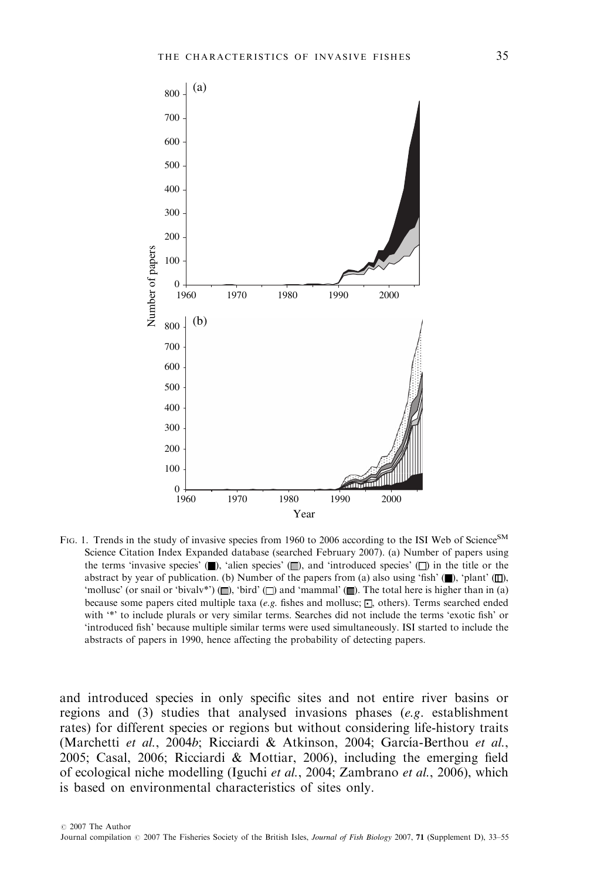

FIG. 1. Trends in the study of invasive species from 1960 to 2006 according to the ISI Web of Science<sup>SM</sup> Science Citation Index Expanded database (searched February 2007). (a) Number of papers using the terms 'invasive species' ( $\blacksquare$ ), 'alien species'  $\blacksquare$ ), and 'introduced species'  $\blacksquare$ ) in the title or the abstract by year of publication. (b) Number of the papers from (a) also using 'fish'  $(\blacksquare)$ , 'plant'  $(\blacksquare)$ , 'mollusc' (or snail or 'bivalv\*')  $(\Box)$ , 'bird'  $(\Box)$  and 'mammal'  $(\Box)$ . The total here is higher than in (a) because some papers cited multiple taxa (e.g. fishes and mollusc;  $\Box$ , others). Terms searched ended with '\*' to include plurals or very similar terms. Searches did not include the terms 'exotic fish' or 'introduced fish' because multiple similar terms were used simultaneously. ISI started to include the abstracts of papers in 1990, hence affecting the probability of detecting papers.

and introduced species in only specific sites and not entire river basins or regions and  $(3)$  studies that analysed invasions phases (e.g. establishment rates) for different species or regions but without considering life-history traits (Marchetti et al., 2004b; Ricciardi & Atkinson, 2004; García-Berthou et al., 2005; Casal, 2006; Ricciardi & Mottiar, 2006), including the emerging field of ecological niche modelling (Iguchi *et al.*, 2004; Zambrano *et al.*, 2006), which is based on environmental characteristics of sites only.

 $© 2007$  The Author Journal compilation  $@$  2007 The Fisheries Society of the British Isles, Journal of Fish Biology 2007, 71 (Supplement D), 33-55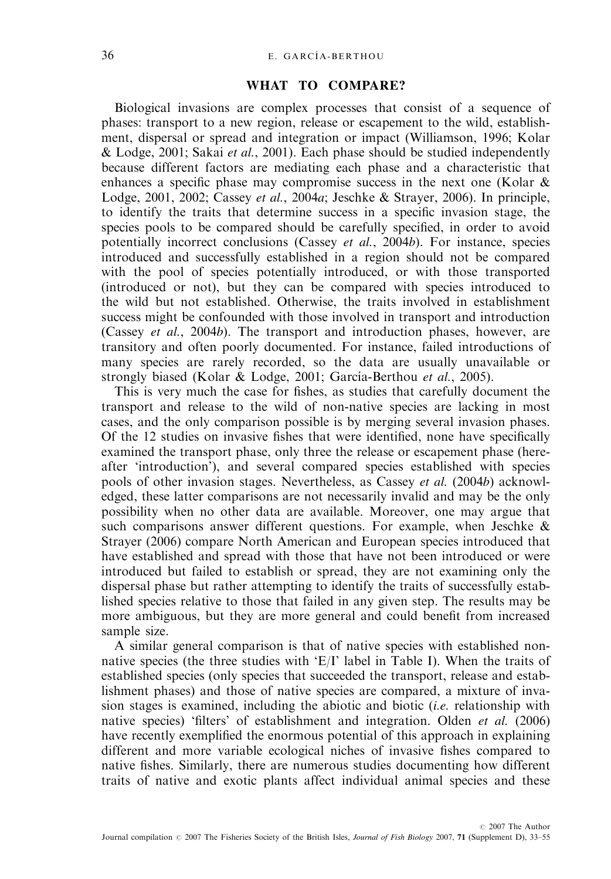### WHAT TO COMPARE?

Biological invasions are complex processes that consist of a sequence of phases: transport to a new region, release or escapement to the wild, establishment, dispersal or spread and integration or impact (Williamson, 1996; Kolar & Lodge, 2001; Sakai *et al.*, 2001). Each phase should be studied independently because different factors are mediating each phase and a characteristic that enhances a specific phase may compromise success in the next one (Kolar  $\&$ Lodge, 2001, 2002; Cassey et al., 2004a; Jeschke & Strayer, 2006). In principle, to identify the traits that determine success in a specific invasion stage, the species pools to be compared should be carefully specified, in order to avoid potentially incorrect conclusions (Cassey et al., 2004b). For instance, species introduced and successfully established in a region should not be compared with the pool of species potentially introduced, or with those transported (introduced or not), but they can be compared with species introduced to the wild but not established. Otherwise, the traits involved in establishment success might be confounded with those involved in transport and introduction (Cassey et al., 2004b). The transport and introduction phases, however, are transitory and often poorly documented. For instance, failed introductions of many species are rarely recorded, so the data are usually unavailable or strongly biased (Kolar & Lodge, 2001; García-Berthou et al., 2005).

This is very much the case for fishes, as studies that carefully document the transport and release to the wild of non-native species are lacking in most cases, and the only comparison possible is by merging several invasion phases. Of the 12 studies on invasive fishes that were identified, none have specifically examined the transport phase, only three the release or escapement phase (hereafter 'introduction'), and several compared species established with species pools of other invasion stages. Nevertheless, as Cassey et al. (2004b) acknowledged, these latter comparisons are not necessarily invalid and may be the only possibility when no other data are available. Moreover, one may argue that such comparisons answer different questions. For example, when Jeschke  $\&$ Strayer (2006) compare North American and European species introduced that have established and spread with those that have not been introduced or were introduced but failed to establish or spread, they are not examining only the dispersal phase but rather attempting to identify the traits of successfully established species relative to those that failed in any given step. The results may be more ambiguous, but they are more general and could benefit from increased sample size.

A similar general comparison is that of native species with established nonnative species (the three studies with 'E/I' label in Table I). When the traits of established species (only species that succeeded the transport, release and establishment phases) and those of native species are compared, a mixture of invasion stages is examined, including the abiotic and biotic  $(i.e.$  relationship with native species) 'filters' of establishment and integration. Olden et al. (2006) have recently exemplified the enormous potential of this approach in explaining different and more variable ecological niches of invasive fishes compared to native fishes. Similarly, there are numerous studies documenting how different traits of native and exotic plants affect individual animal species and these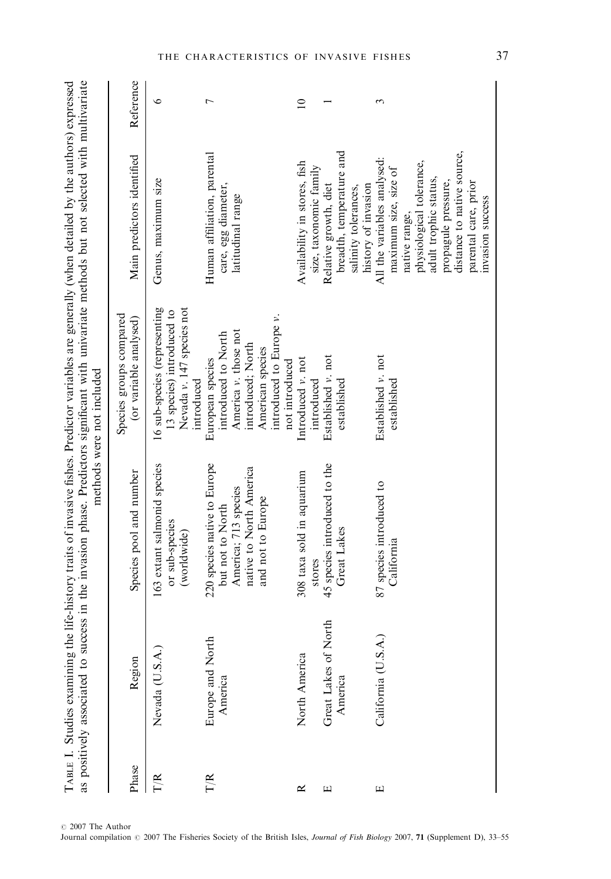| $\sim$<br>he life-history traits of invasive fishes. Predictor variables are generally (when detailed by the author | ccess in the invasion phase. Predictors significant with univariate methods but not selected with multivariate |                          |
|---------------------------------------------------------------------------------------------------------------------|----------------------------------------------------------------------------------------------------------------|--------------------------|
|                                                                                                                     | こくこうしょく くり                                                                                                     | mathon ware not included |
|                                                                                                                     |                                                                                                                |                          |

|        |                                 |                                                                                                                          | methods were not included                                                                                                                             |                                                                                                                                                                                                                             |           |
|--------|---------------------------------|--------------------------------------------------------------------------------------------------------------------------|-------------------------------------------------------------------------------------------------------------------------------------------------------|-----------------------------------------------------------------------------------------------------------------------------------------------------------------------------------------------------------------------------|-----------|
| Phase  | Region                          | Species pool and number                                                                                                  | Species groups compared<br>(or variable analysed)                                                                                                     | Main predictors identified                                                                                                                                                                                                  | Reference |
| T/R    | Nevada (U.S.A.)                 | 163 extant salmonid species<br>or sub-species<br>(worldwide)                                                             | 16 sub-species (representing<br>Nevada v. 147 species not<br>13 species) introduced to<br>introduced                                                  | Genus, maximum size                                                                                                                                                                                                         | $\circ$   |
| T/R    | Europe and North<br>America     | 220 species native to Europe<br>native to North America<br>America; 713 species<br>and not to Europe<br>but not to North | introduced to Europe v.<br>America v. those not<br>introduced to North<br>introduced; North<br>American species<br>European species<br>not introduced | Human affiliation, parental<br>care, egg diameter,<br>latitudinal range                                                                                                                                                     |           |
| ≃      | North America                   | 308 taxa sold in aquarium<br>stores                                                                                      | Introduced v. not<br>introduced                                                                                                                       | Availability in stores, fish<br>size, taxonomic family                                                                                                                                                                      | $\Xi$     |
| щ      | Great Lakes of North<br>America | 45 species introduced to the<br>Great Lakes                                                                              | Established v. not<br>established                                                                                                                     | breadth, temperature and<br>history of invasion<br>Relative growth, diet<br>salinity tolerances,                                                                                                                            |           |
| $\Box$ | California (U.S.A.              | 87 species introduced to<br>California                                                                                   | Established v. not<br>established                                                                                                                     | distance to native source,<br>All the variables analysed:<br>physiological tolerance,<br>maximum size, size of<br>adult trophic status,<br>propagule pressure,<br>parental care, prior<br>invasion success<br>native range, |           |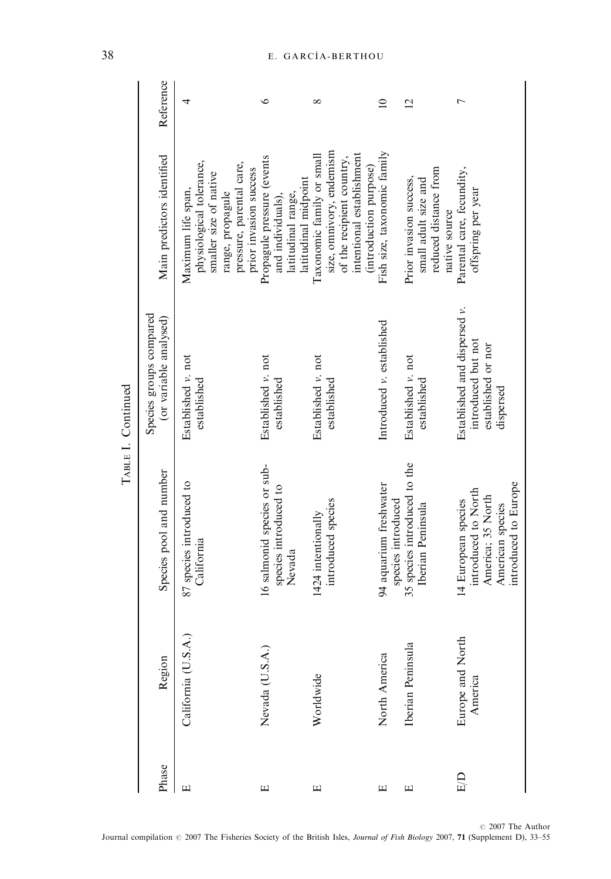| Phase  | Region                      | Species pool and number                                                                                     | Species groups compared<br>(or variable analysed)                                     | Main predictors identified                                                                                                                         | Reference      |
|--------|-----------------------------|-------------------------------------------------------------------------------------------------------------|---------------------------------------------------------------------------------------|----------------------------------------------------------------------------------------------------------------------------------------------------|----------------|
| щ      | California (U.S.A.)         | 87 species introduced to<br>California                                                                      | Established v. not<br>established                                                     | physiological tolerance,<br>pressure, parental care,<br>prior invasion success<br>smaller size of native<br>Maximum life span,<br>range, propagule | 4              |
| Щ      | Nevada (U.S.A.)             | 16 salmonid species or sub-<br>species introduced to<br>Nevada                                              | Established v. not<br>established                                                     | Propagule pressure (events<br>latitudinal midpoint<br>latitudinal range,<br>and individuals),                                                      | ७              |
| Щ      | Worldwide                   | introduced species<br>1424 intentionally                                                                    | Established v. not<br>established                                                     | size, omnivory, endemism<br>intentional establishment<br>Taxonomic family or small<br>of the recipient country,<br>(introduction purpose)          | ∞              |
| щ      | North America               | 94 aquarium freshwater<br>species introduced                                                                | Introduced v. established                                                             | Fish size, taxonomic family                                                                                                                        | $\Xi$          |
| $\Box$ | Iberian Peninsula           | 35 species introduced to the<br>Iberian Peninsula                                                           | Established v. not<br>established                                                     | reduced distance from<br>Prior invasion success,<br>small adult size and<br>native source                                                          | $\overline{2}$ |
| E/D    | Europe and North<br>America | introduced to Europe<br>introduced to North<br>America; 35 North<br>14 European species<br>American species | Established and dispersed v.<br>introduced but not<br>established or nor<br>dispersed | Parental care, fecundity,<br>offspring per year                                                                                                    |                |

TABLE I. Continued TABLE I. Continued

 $\odot$  2007 The Author Journal compilation  $@ 2007$  The Fisheries Society of the British Isles, Journal of Fish Biology 2007, 71 (Supplement D), 33-55

## 38 E. GARCÍA-BERTHOU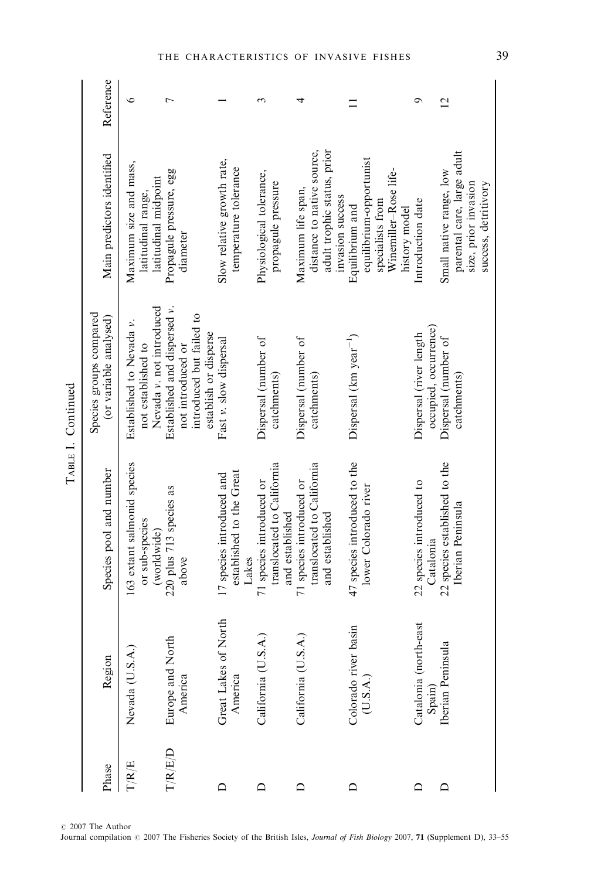$\odot$  2007 The Author

Journal compilation  $\odot$  2007 The Fisheries Society of the British Isles, Journal of Fish Biology 2007, 71 (Supplement D), 33-55

| Phase   | Region                           | Species pool and number                                                   | Species groups compared<br>(or variable analysed)                                                      | Main predictors identified                                                                               | Reference      |
|---------|----------------------------------|---------------------------------------------------------------------------|--------------------------------------------------------------------------------------------------------|----------------------------------------------------------------------------------------------------------|----------------|
| T/R/E   | Nevada (U.S.A.)                  | 163 extant salmonid species<br>or sub-species<br>(worldwide)              | Nevada v. not introduced<br>Established to Nevada v.<br>not established to                             | Maximum size and mass,<br>latitudinal midpoint<br>latitudinal range,                                     | $\circ$        |
| T/R/E/D | Europe and North<br>America      | 220 plus 713 species as<br>above                                          | Established and dispersed v.<br>introduced but failed to<br>establish or disperse<br>not introduced or | Propagule pressure, egg<br>diameter                                                                      | Γ              |
| ≏       | Great Lakes of North<br>America  | established to the Great<br>17 species introduced and<br>Lakes            | Fast v. slow dispersal                                                                                 | Slow relative growth rate,<br>temperature tolerance                                                      |                |
| ≏       | California (U.S.A.)              | translocated to California<br>71 species introduced or<br>and established | Dispersal (number of<br>catchments)                                                                    | Physiological tolerance,<br>propagule pressure                                                           |                |
| $\Box$  | California (U.S.A.)              | translocated to California<br>71 species introduced or<br>and established | Dispersal (number of<br>catchments)                                                                    | adult trophic status, prior<br>distance to native source,<br>Maximum life span,<br>invasion success      | 4              |
| $\Box$  | Colorado river basin<br>(U.S.A.) | 47 species introduced to the<br>lower Colorado river                      | Dispersal (km year <sup>-1</sup> )                                                                     | equilibrium-opportunist<br>Winemiller-Rose life-<br>specialists from<br>Equilibrium and<br>history model |                |
| ≏       | Catalonia (north-east<br>Spain)  | 22 species introduced to<br>Catalonia                                     | occupied, occurrence)<br>Dispersal (river length                                                       | Introduction date                                                                                        | ۰              |
| $\Box$  | Iberian Peninsula                | 22 species established to the<br>Iberian Peninsula                        | Dispersal (number of<br>catchments)                                                                    | parental care, large adult<br>Small native range, low<br>size, prior invasion<br>success, detritivory    | $\overline{c}$ |

## THE CHARACTERISTICS OF INVASIVE FISHES 39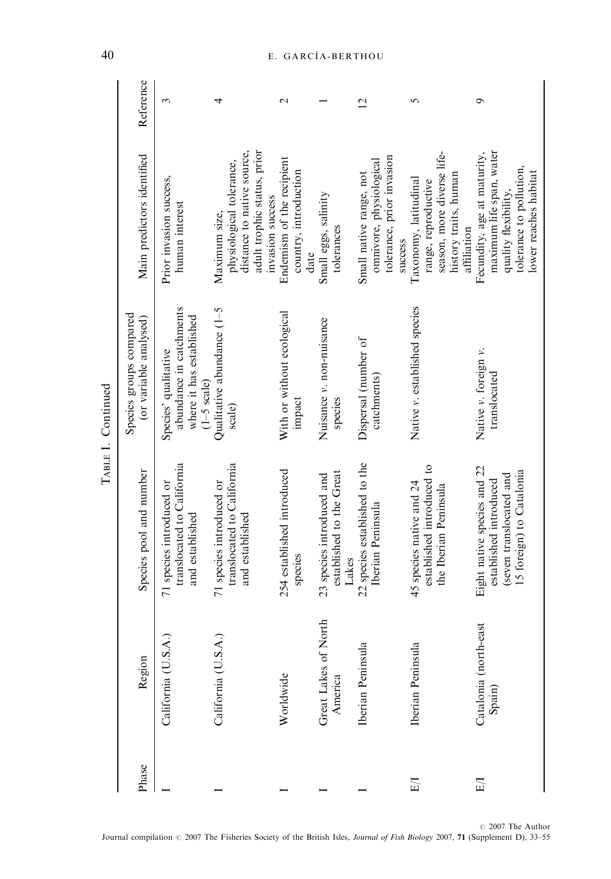| Phase       | Region                          | Species pool and number                                                                                      | Species groups compared<br>(or variable analysed)                                                    | Main predictors identified                                                                                                          | Reference         |
|-------------|---------------------------------|--------------------------------------------------------------------------------------------------------------|------------------------------------------------------------------------------------------------------|-------------------------------------------------------------------------------------------------------------------------------------|-------------------|
|             | California (U.S.A.)             | translocated to California<br>71 species introduced or<br>and established                                    | abundance in catchments<br>where it has established<br>Species' qualitative<br>$(1-5 \text{ scale})$ | Prior invasion success,<br>human interest                                                                                           | 3                 |
|             | California (U.S.A.)             | translocated to California<br>71 species introduced or<br>and established                                    | Qualitative abundance (1-5<br>scale)                                                                 | adult trophic status, prior<br>distance to native source,<br>physiological tolerance,<br>invasion success<br>Maximum size,          | 4                 |
|             | Worldwide                       | 254 established introduced<br>species                                                                        | With or without ecological<br>impact                                                                 | Endemism of the recipient<br>country, introduction<br>date                                                                          | $\mathbf{\Omega}$ |
|             | Great Lakes of North<br>America | established to the Great<br>23 species introduced and<br>Lakes                                               | Nuisance v. non-nuisance<br>species                                                                  | Small eggs, salinity<br>tolerances                                                                                                  |                   |
|             | Iberian Peninsula               | 22 species established to the<br>Iberian Peninsula                                                           | Dispersal (number of<br>catchments)                                                                  | tolerance, prior invasion<br>omnivore, physiological<br>Small native range, not<br>success                                          | $\overline{2}$    |
| $E_{\rm I}$ | Iberian Peninsula               | established introduced to<br>45 species native and 24<br>the Iberian Peninsula                               | Native v. established species                                                                        | season, more diverse life-<br>history traits, human<br>Taxonomy, latitudinal<br>range, reproductive<br>affiliation                  | 5                 |
| $\Xi$       | Catalonia (north-east<br>Spain) | Eight native species and 22<br>15 foreign) to Catalonia<br>(seven translocated and<br>established introduced | Native v. foreign v.<br>translocated                                                                 | maximum life span, water<br>Fecundity, age at maturity,<br>tolerance to pollution,<br>lower reaches habitat<br>quality flexibility, | ဓ                 |

TABLE I. Continued

TABLE I. Continued

## 40 E. GARCÍA-BERTHOU

 $\odot$  2007 The Author Journal compilation  $@ 2007$  The Fisheries Society of the British Isles, Journal of Fish Biology 2007, 71 (Supplement D), 33-55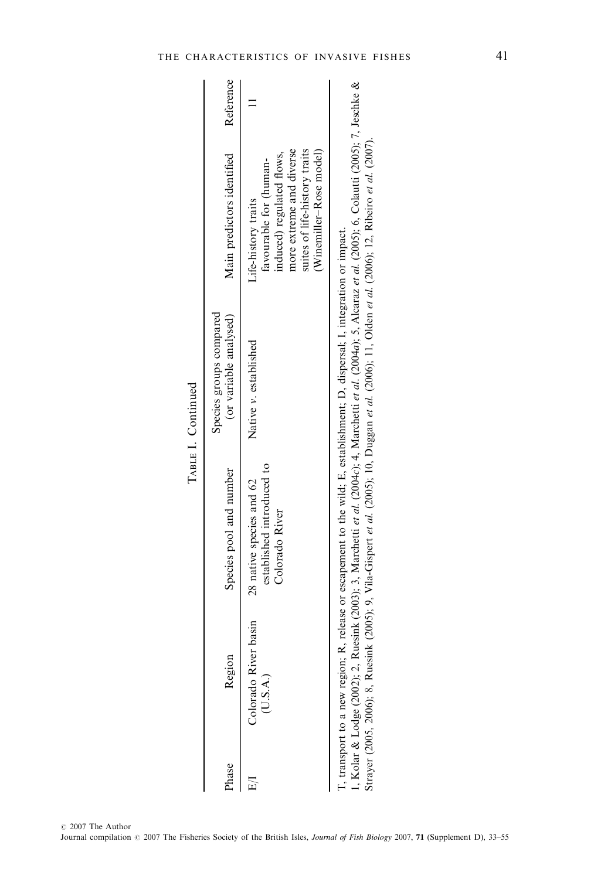|       |                                                                      |                                                                         | TABLE I. Continued                                                                                                                                                                                                                                                                                                                                                                      |                                                                                                                                                                    |           |
|-------|----------------------------------------------------------------------|-------------------------------------------------------------------------|-----------------------------------------------------------------------------------------------------------------------------------------------------------------------------------------------------------------------------------------------------------------------------------------------------------------------------------------------------------------------------------------|--------------------------------------------------------------------------------------------------------------------------------------------------------------------|-----------|
| Phase | Region                                                               | Species pool and number                                                 | Species groups compared<br>(or variable analysed)                                                                                                                                                                                                                                                                                                                                       | Main predictors identified                                                                                                                                         | Reference |
|       | Colorado River basin<br>(US.A.)                                      | established introduced to<br>28 native species and 62<br>Colorado River | Native v. established                                                                                                                                                                                                                                                                                                                                                                   | more extreme and diverse<br>suites of life-history traits<br>(Winemiller-Rose model)<br>induced) regulated flows,<br>favourable for (human-<br>Life-history traits |           |
|       | T, transport to a new region; R,<br>Strayer (2005, 2006); 8, Ruesink |                                                                         | , Kolar & Lodge (2002); 2, Ruesink (2003); 3, Marchetti et al. (2004c); 4, Marchetti et al. (2004a); 5, Alcaraz et al. (2005); 6, Colautti (2005); 7, Jeschke &<br>(2005); 9, Vila-Gispert et al. (2005); 10, Duggan et al. (2006); 11, Olden et al. (2006); 12, Ribeiro et al. (2007).<br>release or escapement to the wild; E, establishment; D, dispersal; I, integration or impact. |                                                                                                                                                                    |           |

#### $\odot$  2007 The Author Journal compilation  $© 2007$  The Fisheries Society of the British Isles, *Journal of Fish Biology* 2007, 71 (Supplement D), 33-55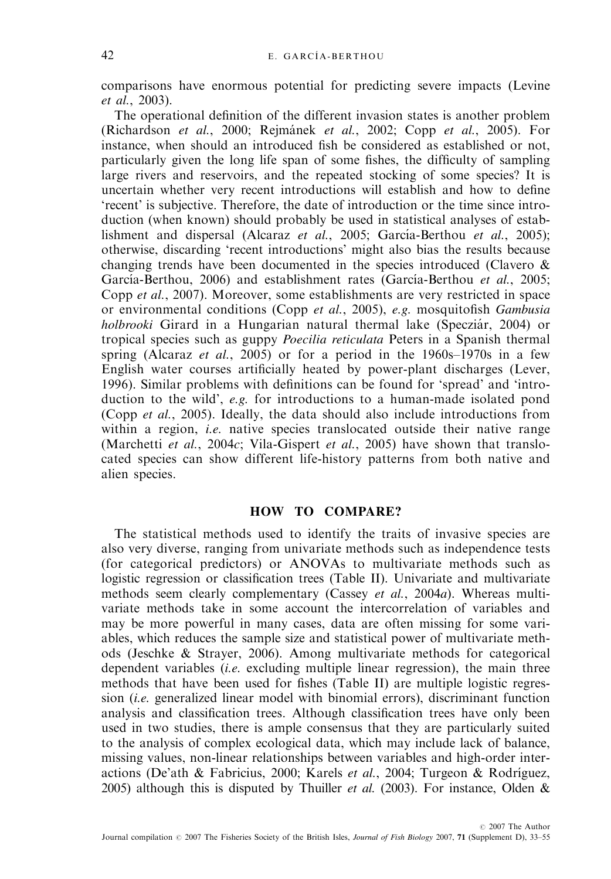comparisons have enormous potential for predicting severe impacts (Levine et al., 2003).

The operational definition of the different invasion states is another problem (Richardson et al., 2000; Rejmánek et al., 2002; Copp et al., 2005). For instance, when should an introduced fish be considered as established or not, particularly given the long life span of some fishes, the difficulty of sampling large rivers and reservoirs, and the repeated stocking of some species? It is uncertain whether very recent introductions will establish and how to define 'recent' is subjective. Therefore, the date of introduction or the time since introduction (when known) should probably be used in statistical analyses of establishment and dispersal (Alcaraz et al., 2005; García-Berthou et al., 2005); otherwise, discarding 'recent introductions' might also bias the results because changing trends have been documented in the species introduced (Clavero  $\&$ García-Berthou, 2006) and establishment rates (García-Berthou et al., 2005; Copp et al., 2007). Moreover, some establishments are very restricted in space or environmental conditions (Copp et al., 2005), e.g. mosquitofish Gambusia holbrooki Girard in a Hungarian natural thermal lake (Specziár, 2004) or tropical species such as guppy Poecilia reticulata Peters in a Spanish thermal spring (Alcaraz *et al.*, 2005) or for a period in the  $1960s-1970s$  in a few English water courses artificially heated by power-plant discharges (Lever, 1996). Similar problems with definitions can be found for 'spread' and 'introduction to the wild', e.g. for introductions to a human-made isolated pond (Copp et al., 2005). Ideally, the data should also include introductions from within a region, *i.e.* native species translocated outside their native range (Marchetti *et al.*, 2004*c*; Vila-Gispert *et al.*, 2005) have shown that translocated species can show different life-history patterns from both native and alien species.

### HOW TO COMPARE?

The statistical methods used to identify the traits of invasive species are also very diverse, ranging from univariate methods such as independence tests (for categorical predictors) or ANOVAs to multivariate methods such as logistic regression or classification trees (Table II). Univariate and multivariate methods seem clearly complementary (Cassey et al., 2004a). Whereas multivariate methods take in some account the intercorrelation of variables and may be more powerful in many cases, data are often missing for some variables, which reduces the sample size and statistical power of multivariate methods (Jeschke & Strayer, 2006). Among multivariate methods for categorical dependent variables (i.e. excluding multiple linear regression), the main three methods that have been used for fishes (Table II) are multiple logistic regression (i.e. generalized linear model with binomial errors), discriminant function analysis and classification trees. Although classification trees have only been used in two studies, there is ample consensus that they are particularly suited to the analysis of complex ecological data, which may include lack of balance, missing values, non-linear relationships between variables and high-order interactions (De'ath & Fabricius, 2000; Karels et al., 2004; Turgeon & Rodríguez, 2005) although this is disputed by Thuiller et al. (2003). For instance, Olden  $\&$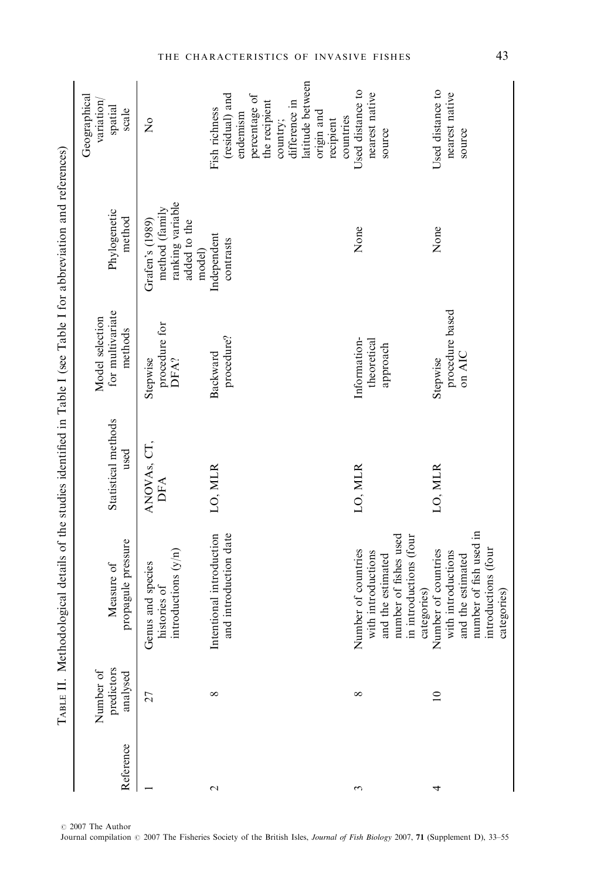|                                                                                                                     | Geographical<br>variation/<br>spatial<br>scale | $\tilde{z}$                                                                     | latitude between<br>(residual) and<br>percentage of<br>the recipient<br>difference in<br>Fish richness<br>endemism<br>country; | origin and<br>countries<br>recipient | Used distance to<br>nearest native<br>source                                                                                     | Used distance to<br>nearest native<br>source                                                                                   |
|---------------------------------------------------------------------------------------------------------------------|------------------------------------------------|---------------------------------------------------------------------------------|--------------------------------------------------------------------------------------------------------------------------------|--------------------------------------|----------------------------------------------------------------------------------------------------------------------------------|--------------------------------------------------------------------------------------------------------------------------------|
|                                                                                                                     | Phylogenetic<br>method                         | ranking variable<br>method (family<br>Grafen's (1989)<br>added to the<br>model) | Independent<br>contrasts                                                                                                       |                                      | None                                                                                                                             | None                                                                                                                           |
|                                                                                                                     | for multivariate<br>Model selection<br>methods | procedure for<br>Stepwise<br>DFA?                                               | procedure?<br>Backward                                                                                                         |                                      | Information-<br>theoretical<br>approach                                                                                          | procedure based<br>on AIC<br>Stepwise                                                                                          |
|                                                                                                                     | Statistical methods<br>used                    | ANOVAS, CT,<br>DFA                                                              | LO, MLR                                                                                                                        |                                      | LO, MLR                                                                                                                          | LO, MLR                                                                                                                        |
| TABLE II. Methodological details of the studies identified in Table I (see Table I for abbreviation and references) | propagule pressure<br>Measure of               | introductions (y/n)<br>Genus and species<br>histories of                        | Intentional introduction<br>and introduction date                                                                              |                                      | number of fishes used<br>in introductions (four<br>Number of countries<br>with introductions<br>and the estimated<br>categories) | number of fish used in<br>introductions (four<br>Number of countries<br>with introductions<br>and the estimated<br>categories) |
|                                                                                                                     | predictors<br>Number of<br>analysed            | 27                                                                              | $\infty$                                                                                                                       |                                      | $\infty$                                                                                                                         | $\overline{\phantom{0}}$                                                                                                       |
|                                                                                                                     | Reference                                      |                                                                                 | $\mathcal{L}$                                                                                                                  |                                      | 3                                                                                                                                | 4                                                                                                                              |

 $\odot$  2007 The Author

Journal compilation  $\degree$  2007 The Fisheries Society of the British Isles, Journal of Fish Biology 2007, 71 (Supplement D), 33-55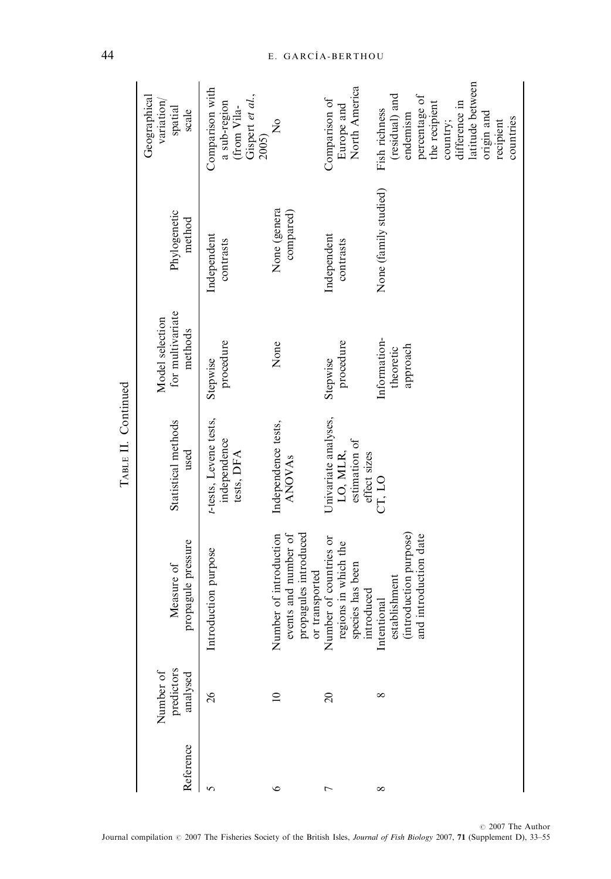| TABLE II. Continued | Geographical<br>variation/<br>spatial<br>scale<br>Phylogenetic<br>method<br>for multivariate<br>Model selection<br>methods<br>used | Comparison with<br>Gispert et al.,<br>a sub-region<br>(from Vila-<br>2005)<br>Independent<br>contrasts<br>procedure<br>Stepwise | $\overline{z}$<br>None (genera<br>compared)<br>None                                       | North America<br>Comparison of<br>Europe and<br>Independent<br>contrasts<br>procedure<br>Stepwise | latitude between<br>(residual) and<br>percentage of<br>the recipient<br>difference in<br>Fish richness<br>endemism<br>origin and<br>country;<br>recipient<br>None (family studied)<br>Information-<br>approach<br>theoretic |
|---------------------|------------------------------------------------------------------------------------------------------------------------------------|---------------------------------------------------------------------------------------------------------------------------------|-------------------------------------------------------------------------------------------|---------------------------------------------------------------------------------------------------|-----------------------------------------------------------------------------------------------------------------------------------------------------------------------------------------------------------------------------|
|                     |                                                                                                                                    |                                                                                                                                 |                                                                                           |                                                                                                   |                                                                                                                                                                                                                             |
|                     | Statistical methods                                                                                                                | t-tests, Levene tests,<br>independence<br>tests, DFA                                                                            | Independence tests,<br><b>ANOVAS</b>                                                      | Univariate analyses,<br>LO, MLR,<br>estimation of<br>effect sizes                                 | CT, LO                                                                                                                                                                                                                      |
|                     | propagule pressure<br>Measure of                                                                                                   | Introduction purpose                                                                                                            | propagules introduced<br>events and number of<br>Number of introduction<br>or transported | Number of countries or<br>regions in which the<br>species has been<br>introduced                  | (introduction purpose)<br>and introduction date<br>establishment<br>Intentional                                                                                                                                             |
|                     | predictors<br>analysed<br>Number of                                                                                                | 26                                                                                                                              |                                                                                           | $\overline{c}$                                                                                    | ∞                                                                                                                                                                                                                           |
|                     | Reference                                                                                                                          | 5                                                                                                                               | $\circ$                                                                                   | Γ                                                                                                 | $^{\circ}$                                                                                                                                                                                                                  |

## 44 E. GARCÍA-BERTHOU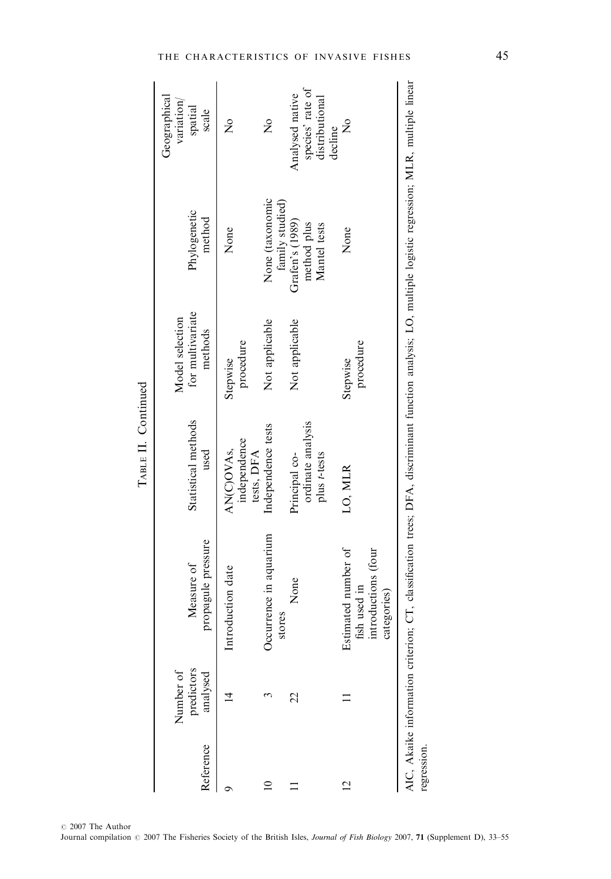| Reference      | predictors<br>Number of<br>analysed | propagule pressure<br>Measure of                                                                                                                         | Statistical methods<br>used                        | for multivariate<br>Model selection<br>methods | Phylogenetic<br>method                         | Geographical<br>variation/<br>spatial<br>scale                   |
|----------------|-------------------------------------|----------------------------------------------------------------------------------------------------------------------------------------------------------|----------------------------------------------------|------------------------------------------------|------------------------------------------------|------------------------------------------------------------------|
|                |                                     | Introduction date                                                                                                                                        | independence<br>ANC <sub>OVAs</sub><br>tests, DFA  | procedure<br>Stepwise                          | None                                           | $\tilde{\mathsf{z}}$                                             |
|                |                                     | courrence in aquarium<br>stores                                                                                                                          | Independence tests                                 | Not applicable                                 | None (taxonomic<br>family studied)             | $\frac{1}{2}$                                                    |
|                | 22                                  | None                                                                                                                                                     | ordinate analysis<br>plus t-tests<br>Principal co- | Not applicable                                 | Grafen's (1989)<br>method plus<br>Mantel tests | species' rate of<br>Analysed native<br>distributional<br>decline |
| $\overline{c}$ |                                     | Estimated number of<br>introductions (four<br>fish used in<br>categories)                                                                                | LO, MLR                                            | procedure<br>Stepwise                          | None                                           | $\tilde{\mathsf{z}}$                                             |
| regression.    |                                     | AIC, Akaike information criterion; CT, classification trees; DFA, discriminant function analysis; LO, multiple logistic regression; MLR, multiple linear |                                                    |                                                |                                                |                                                                  |

| ĹΤ, |  |
|-----|--|

 $\odot$  2007 The Author

Journal compilation  $\odot$  2007 The Fisheries Society of the British Isles, Journal of Fish Biology 2007, 71 (Supplement D), 33-55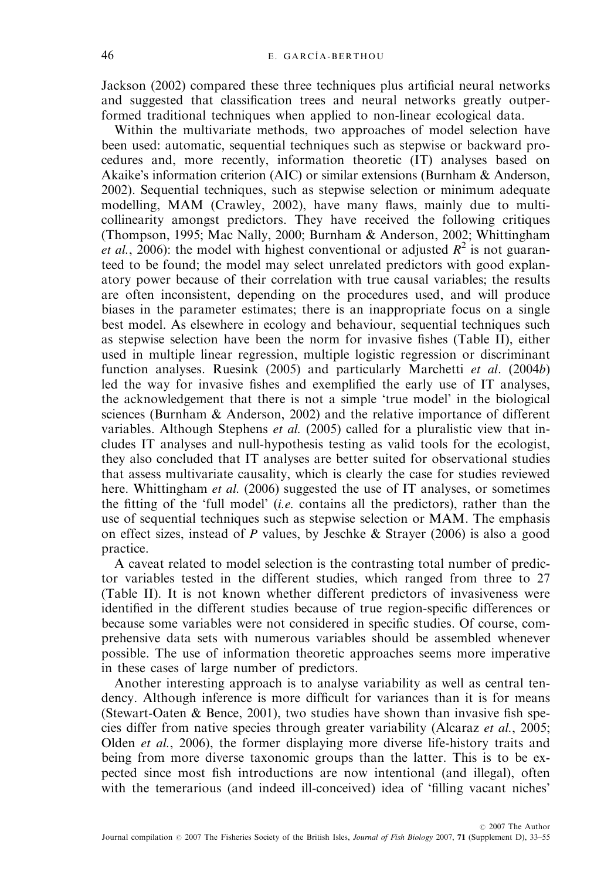Jackson (2002) compared these three techniques plus artificial neural networks and suggested that classification trees and neural networks greatly outperformed traditional techniques when applied to non-linear ecological data.

Within the multivariate methods, two approaches of model selection have been used: automatic, sequential techniques such as stepwise or backward procedures and, more recently, information theoretic (IT) analyses based on Akaike's information criterion (AIC) or similar extensions (Burnham & Anderson, 2002). Sequential techniques, such as stepwise selection or minimum adequate modelling, MAM (Crawley, 2002), have many flaws, mainly due to multicollinearity amongst predictors. They have received the following critiques (Thompson, 1995; Mac Nally, 2000; Burnham & Anderson, 2002; Whittingham et al., 2006): the model with highest conventional or adjusted  $R^2$  is not guaranteed to be found; the model may select unrelated predictors with good explanatory power because of their correlation with true causal variables; the results are often inconsistent, depending on the procedures used, and will produce biases in the parameter estimates; there is an inappropriate focus on a single best model. As elsewhere in ecology and behaviour, sequential techniques such as stepwise selection have been the norm for invasive fishes (Table II), either used in multiple linear regression, multiple logistic regression or discriminant function analyses. Ruesink (2005) and particularly Marchetti et al. (2004b) led the way for invasive fishes and exemplified the early use of IT analyses, the acknowledgement that there is not a simple 'true model' in the biological sciences (Burnham & Anderson, 2002) and the relative importance of different variables. Although Stephens *et al.* (2005) called for a pluralistic view that includes IT analyses and null-hypothesis testing as valid tools for the ecologist, they also concluded that IT analyses are better suited for observational studies that assess multivariate causality, which is clearly the case for studies reviewed here. Whittingham *et al.* (2006) suggested the use of IT analyses, or sometimes the fitting of the 'full model' (i.e. contains all the predictors), rather than the use of sequential techniques such as stepwise selection or MAM. The emphasis on effect sizes, instead of  $P$  values, by Jeschke & Strayer (2006) is also a good practice.

A caveat related to model selection is the contrasting total number of predictor variables tested in the different studies, which ranged from three to 27 (Table II). It is not known whether different predictors of invasiveness were identified in the different studies because of true region-specific differences or because some variables were not considered in specific studies. Of course, comprehensive data sets with numerous variables should be assembled whenever possible. The use of information theoretic approaches seems more imperative in these cases of large number of predictors.

Another interesting approach is to analyse variability as well as central tendency. Although inference is more difficult for variances than it is for means (Stewart-Oaten & Bence, 2001), two studies have shown than invasive fish species differ from native species through greater variability (Alcaraz et al., 2005; Olden et al., 2006), the former displaying more diverse life-history traits and being from more diverse taxonomic groups than the latter. This is to be expected since most fish introductions are now intentional (and illegal), often with the temerarious (and indeed ill-conceived) idea of 'filling vacant niches'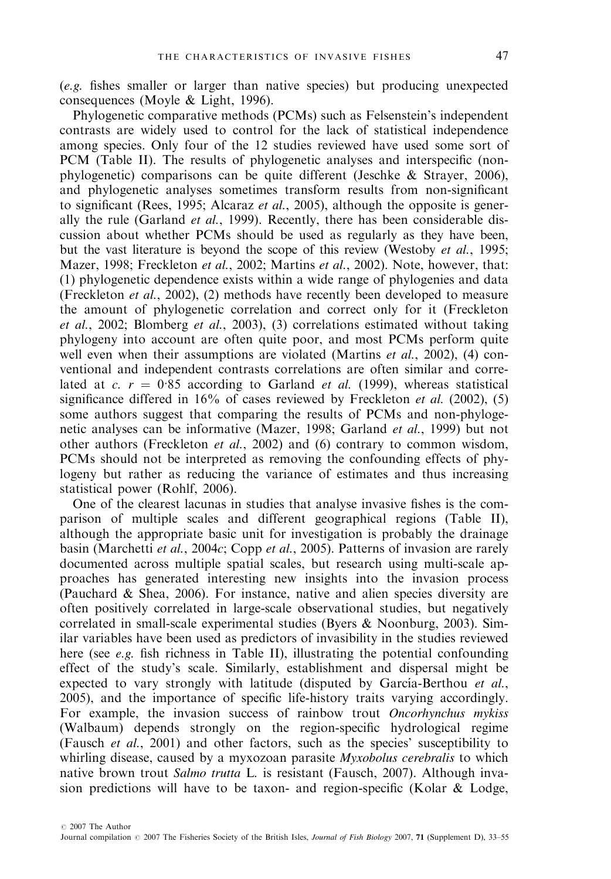(e.g. fishes smaller or larger than native species) but producing unexpected consequences (Moyle & Light, 1996).

Phylogenetic comparative methods (PCMs) such as Felsenstein's independent contrasts are widely used to control for the lack of statistical independence among species. Only four of the 12 studies reviewed have used some sort of PCM (Table II). The results of phylogenetic analyses and interspecific (nonphylogenetic) comparisons can be quite different (Jeschke & Strayer, 2006), and phylogenetic analyses sometimes transform results from non-significant to significant (Rees, 1995; Alcaraz et al., 2005), although the opposite is generally the rule (Garland *et al.*, 1999). Recently, there has been considerable discussion about whether PCMs should be used as regularly as they have been, but the vast literature is beyond the scope of this review (Westoby et al., 1995; Mazer, 1998; Freckleton et al., 2002; Martins et al., 2002). Note, however, that: (1) phylogenetic dependence exists within a wide range of phylogenies and data (Freckleton et al., 2002), (2) methods have recently been developed to measure the amount of phylogenetic correlation and correct only for it (Freckleton et al., 2002; Blomberg et al., 2003), (3) correlations estimated without taking phylogeny into account are often quite poor, and most PCMs perform quite well even when their assumptions are violated (Martins *et al.*, 2002), (4) conventional and independent contrasts correlations are often similar and correlated at  $c. r = 0.85$  according to Garland *et al.* (1999), whereas statistical significance differed in 16% of cases reviewed by Freckleton et al. (2002), (5) some authors suggest that comparing the results of PCMs and non-phylogenetic analyses can be informative (Mazer, 1998; Garland et al., 1999) but not other authors (Freckleton et al., 2002) and (6) contrary to common wisdom, PCMs should not be interpreted as removing the confounding effects of phylogeny but rather as reducing the variance of estimates and thus increasing statistical power (Rohlf, 2006).

One of the clearest lacunas in studies that analyse invasive fishes is the comparison of multiple scales and different geographical regions (Table II), although the appropriate basic unit for investigation is probably the drainage basin (Marchetti et al., 2004c; Copp et al., 2005). Patterns of invasion are rarely documented across multiple spatial scales, but research using multi-scale approaches has generated interesting new insights into the invasion process (Pauchard & Shea, 2006). For instance, native and alien species diversity are often positively correlated in large-scale observational studies, but negatively correlated in small-scale experimental studies (Byers & Noonburg, 2003). Similar variables have been used as predictors of invasibility in the studies reviewed here (see e.g. fish richness in Table II), illustrating the potential confounding effect of the study's scale. Similarly, establishment and dispersal might be expected to vary strongly with latitude (disputed by García-Berthou et al., 2005), and the importance of specific life-history traits varying accordingly. For example, the invasion success of rainbow trout Oncorhynchus mykiss (Walbaum) depends strongly on the region-specific hydrological regime (Fausch et al., 2001) and other factors, such as the species' susceptibility to whirling disease, caused by a myxozoan parasite Myxobolus cerebralis to which native brown trout *Salmo trutta* L. is resistant (Fausch, 2007). Although invasion predictions will have to be taxon- and region-specific (Kolar & Lodge,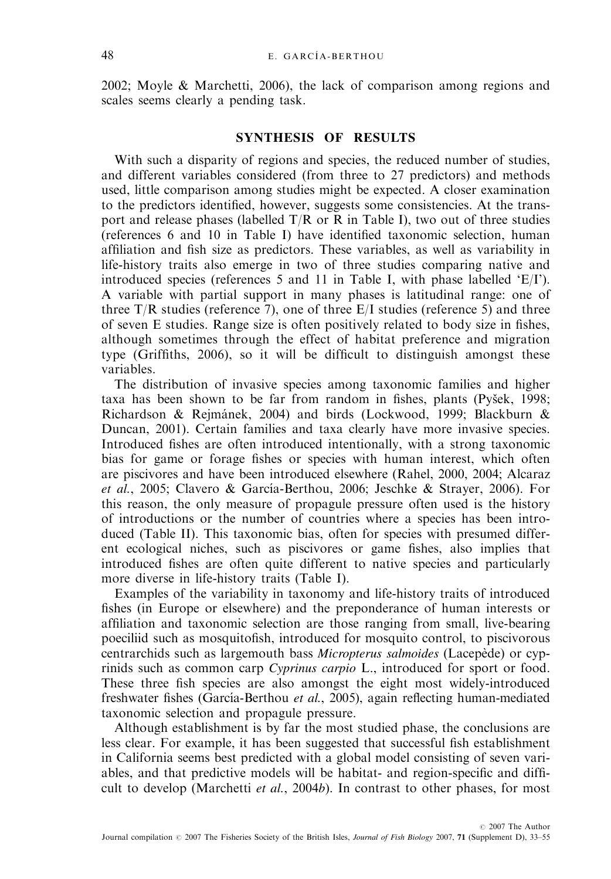2002; Moyle & Marchetti, 2006), the lack of comparison among regions and scales seems clearly a pending task.

### SYNTHESIS OF RESULTS

With such a disparity of regions and species, the reduced number of studies, and different variables considered (from three to 27 predictors) and methods used, little comparison among studies might be expected. A closer examination to the predictors identified, however, suggests some consistencies. At the transport and release phases (labelled  $T/R$  or R in Table I), two out of three studies (references 6 and 10 in Table I) have identified taxonomic selection, human affiliation and fish size as predictors. These variables, as well as variability in life-history traits also emerge in two of three studies comparing native and introduced species (references 5 and 11 in Table I, with phase labelled 'E/I'). A variable with partial support in many phases is latitudinal range: one of three  $T/R$  studies (reference 7), one of three  $E/I$  studies (reference 5) and three of seven E studies. Range size is often positively related to body size in fishes, although sometimes through the effect of habitat preference and migration type (Griffiths, 2006), so it will be difficult to distinguish amongst these variables.

The distribution of invasive species among taxonomic families and higher taxa has been shown to be far from random in fishes, plants (Pyšek, 1998; Richardson & Rejmánek, 2004) and birds (Lockwood, 1999; Blackburn & Duncan, 2001). Certain families and taxa clearly have more invasive species. Introduced fishes are often introduced intentionally, with a strong taxonomic bias for game or forage fishes or species with human interest, which often are piscivores and have been introduced elsewhere (Rahel, 2000, 2004; Alcaraz et al., 2005; Clavero & García-Berthou, 2006; Jeschke & Strayer, 2006). For this reason, the only measure of propagule pressure often used is the history of introductions or the number of countries where a species has been introduced (Table II). This taxonomic bias, often for species with presumed different ecological niches, such as piscivores or game fishes, also implies that introduced fishes are often quite different to native species and particularly more diverse in life-history traits (Table I).

Examples of the variability in taxonomy and life-history traits of introduced fishes (in Europe or elsewhere) and the preponderance of human interests or affiliation and taxonomic selection are those ranging from small, live-bearing poeciliid such as mosquitofish, introduced for mosquito control, to piscivorous centrarchids such as largemouth bass Micropterus salmoides (Lacepède) or cyprinids such as common carp Cyprinus carpio L., introduced for sport or food. These three fish species are also amongst the eight most widely-introduced freshwater fishes (García-Berthou *et al.*, 2005), again reflecting human-mediated taxonomic selection and propagule pressure.

Although establishment is by far the most studied phase, the conclusions are less clear. For example, it has been suggested that successful fish establishment in California seems best predicted with a global model consisting of seven variables, and that predictive models will be habitat- and region-specific and difficult to develop (Marchetti et al., 2004b). In contrast to other phases, for most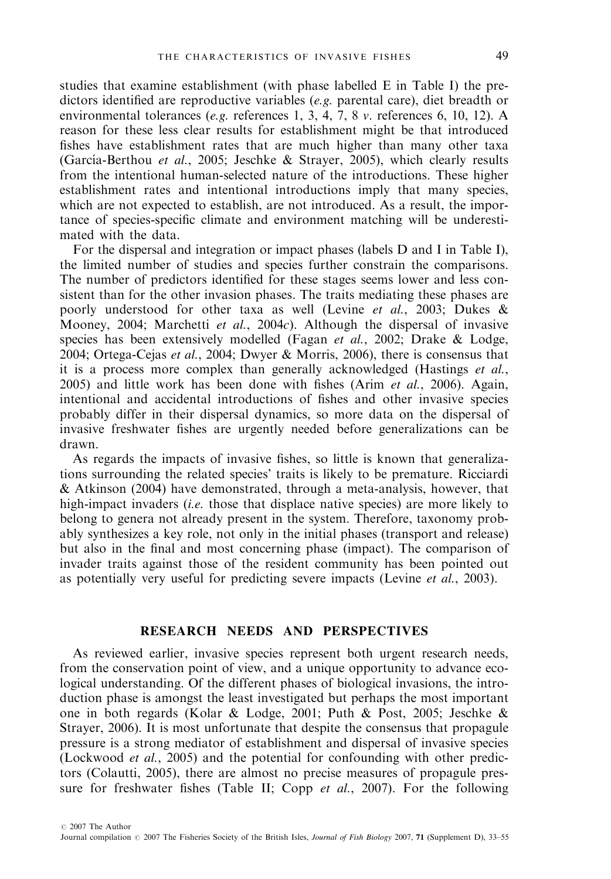studies that examine establishment (with phase labelled E in Table I) the predictors identified are reproductive variables (e.g. parental care), diet breadth or environmental tolerances (e.g. references 1, 3, 4, 7, 8 v. references 6, 10, 12). A reason for these less clear results for establishment might be that introduced fishes have establishment rates that are much higher than many other taxa (García-Berthou et al., 2005; Jeschke & Strayer, 2005), which clearly results from the intentional human-selected nature of the introductions. These higher establishment rates and intentional introductions imply that many species, which are not expected to establish, are not introduced. As a result, the importance of species-specific climate and environment matching will be underestimated with the data.

For the dispersal and integration or impact phases (labels D and I in Table I), the limited number of studies and species further constrain the comparisons. The number of predictors identified for these stages seems lower and less consistent than for the other invasion phases. The traits mediating these phases are poorly understood for other taxa as well (Levine *et al.*, 2003; Dukes  $\&$ Mooney, 2004; Marchetti et al., 2004c). Although the dispersal of invasive species has been extensively modelled (Fagan et al., 2002; Drake & Lodge, 2004; Ortega-Cejas et al., 2004; Dwyer & Morris, 2006), there is consensus that it is a process more complex than generally acknowledged (Hastings *et al.*, 2005) and little work has been done with fishes (Arim  $et$  al., 2006). Again, intentional and accidental introductions of fishes and other invasive species probably differ in their dispersal dynamics, so more data on the dispersal of invasive freshwater fishes are urgently needed before generalizations can be drawn.

As regards the impacts of invasive fishes, so little is known that generalizations surrounding the related species' traits is likely to be premature. Ricciardi & Atkinson (2004) have demonstrated, through a meta-analysis, however, that high-impact invaders *(i.e.* those that displace native species) are more likely to belong to genera not already present in the system. Therefore, taxonomy probably synthesizes a key role, not only in the initial phases (transport and release) but also in the final and most concerning phase (impact). The comparison of invader traits against those of the resident community has been pointed out as potentially very useful for predicting severe impacts (Levine et al., 2003).

### RESEARCH NEEDS AND PERSPECTIVES

As reviewed earlier, invasive species represent both urgent research needs, from the conservation point of view, and a unique opportunity to advance ecological understanding. Of the different phases of biological invasions, the introduction phase is amongst the least investigated but perhaps the most important one in both regards (Kolar & Lodge, 2001; Puth & Post, 2005; Jeschke & Strayer, 2006). It is most unfortunate that despite the consensus that propagule pressure is a strong mediator of establishment and dispersal of invasive species (Lockwood et al., 2005) and the potential for confounding with other predictors (Colautti, 2005), there are almost no precise measures of propagule pressure for freshwater fishes (Table II; Copp et al., 2007). For the following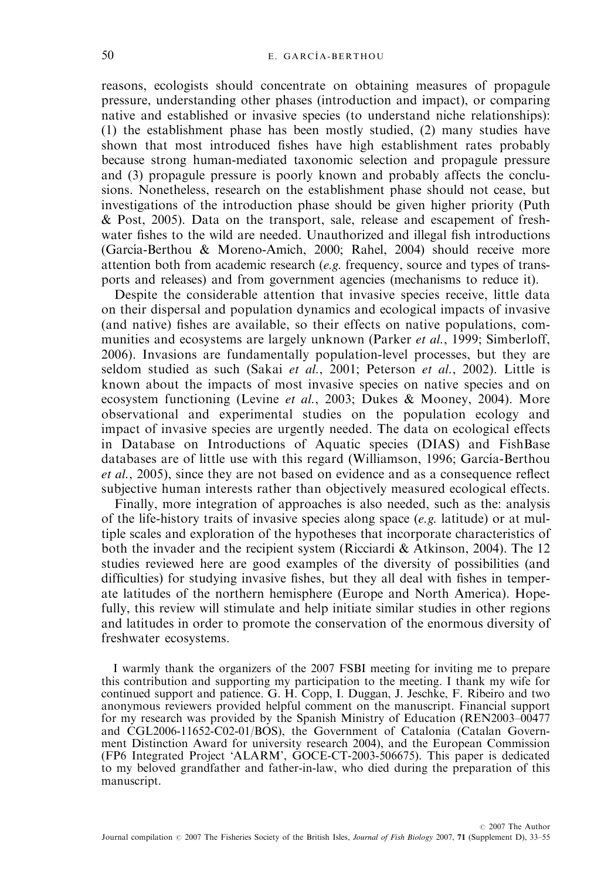reasons, ecologists should concentrate on obtaining measures of propagule pressure, understanding other phases (introduction and impact), or comparing native and established or invasive species (to understand niche relationships): (1) the establishment phase has been mostly studied, (2) many studies have shown that most introduced fishes have high establishment rates probably because strong human-mediated taxonomic selection and propagule pressure and (3) propagule pressure is poorly known and probably affects the conclusions. Nonetheless, research on the establishment phase should not cease, but investigations of the introduction phase should be given higher priority (Puth & Post, 2005). Data on the transport, sale, release and escapement of freshwater fishes to the wild are needed. Unauthorized and illegal fish introductions  $(Garcia-Berthou \& Moreno-Amich, 2000; Rahel, 2004) should receive more$ attention both from academic research  $(e.g.$  frequency, source and types of transports and releases) and from government agencies (mechanisms to reduce it).

Despite the considerable attention that invasive species receive, little data on their dispersal and population dynamics and ecological impacts of invasive (and native) fishes are available, so their effects on native populations, communities and ecosystems are largely unknown (Parker et al., 1999; Simberloff, 2006). Invasions are fundamentally population-level processes, but they are seldom studied as such (Sakai et al., 2001; Peterson et al., 2002). Little is known about the impacts of most invasive species on native species and on ecosystem functioning (Levine et al., 2003; Dukes & Mooney, 2004). More observational and experimental studies on the population ecology and impact of invasive species are urgently needed. The data on ecological effects in Database on Introductions of Aquatic species (DIAS) and FishBase databases are of little use with this regard (Williamson, 1996; García-Berthou et al., 2005), since they are not based on evidence and as a consequence reflect subjective human interests rather than objectively measured ecological effects.

Finally, more integration of approaches is also needed, such as the: analysis of the life-history traits of invasive species along space  $(e.g.$  latitude) or at multiple scales and exploration of the hypotheses that incorporate characteristics of both the invader and the recipient system (Ricciardi & Atkinson, 2004). The 12 studies reviewed here are good examples of the diversity of possibilities (and difficulties) for studying invasive fishes, but they all deal with fishes in temperate latitudes of the northern hemisphere (Europe and North America). Hopefully, this review will stimulate and help initiate similar studies in other regions and latitudes in order to promote the conservation of the enormous diversity of freshwater ecosystems.

I warmly thank the organizers of the 2007 FSBI meeting for inviting me to prepare this contribution and supporting my participation to the meeting. I thank my wife for continued support and patience. G. H. Copp, I. Duggan, J. Jeschke, F. Ribeiro and two anonymous reviewers provided helpful comment on the manuscript. Financial support for my research was provided by the Spanish Ministry of Education (REN2003–00477 and CGL2006-11652-C02-01/BOS), the Government of Catalonia (Catalan Government Distinction Award for university research 2004), and the European Commission (FP6 Integrated Project 'ALARM', GOCE-CT-2003-506675). This paper is dedicated to my beloved grandfather and father-in-law, who died during the preparation of this manuscript.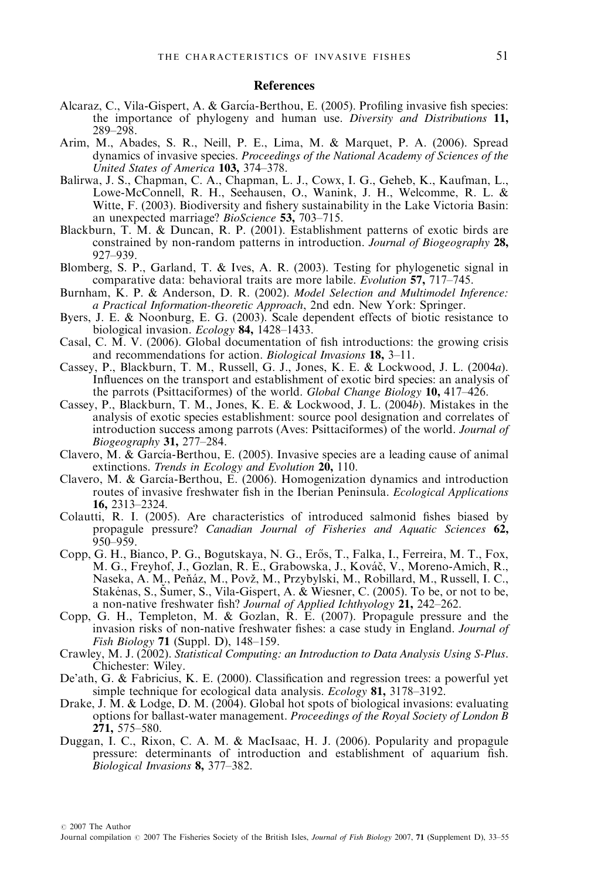### References

- Alcaraz, C., Vila-Gispert, A. & García-Berthou, E. (2005). Profiling invasive fish species: the importance of phylogeny and human use. Diversity and Distributions 11, 289–298.
- Arim, M., Abades, S. R., Neill, P. E., Lima, M. & Marquet, P. A. (2006). Spread dynamics of invasive species. Proceedings of the National Academy of Sciences of the United States of America 103, 374–378.
- Balirwa, J. S., Chapman, C. A., Chapman, L. J., Cowx, I. G., Geheb, K., Kaufman, L., Lowe-McConnell, R. H., Seehausen, O., Wanink, J. H., Welcomme, R. L. & Witte, F. (2003). Biodiversity and fishery sustainability in the Lake Victoria Basin: an unexpected marriage? BioScience 53, 703–715.
- Blackburn, T. M. & Duncan, R. P. (2001). Establishment patterns of exotic birds are constrained by non-random patterns in introduction. Journal of Biogeography 28, 927–939.
- Blomberg, S. P., Garland, T. & Ives, A. R. (2003). Testing for phylogenetic signal in comparative data: behavioral traits are more labile. Evolution 57, 717–745.
- Burnham, K. P. & Anderson, D. R. (2002). Model Selection and Multimodel Inference: a Practical Information-theoretic Approach, 2nd edn. New York: Springer.
- Byers, J. E. & Noonburg, E. G. (2003). Scale dependent effects of biotic resistance to biological invasion. Ecology 84, 1428–1433.
- Casal, C. M. V. (2006). Global documentation of fish introductions: the growing crisis and recommendations for action. Biological Invasions 18, 3–11.
- Cassey, P., Blackburn, T. M., Russell, G. J., Jones, K. E. & Lockwood, J. L. (2004a). Influences on the transport and establishment of exotic bird species: an analysis of the parrots (Psittaciformes) of the world. Global Change Biology 10, 417–426.
- Cassey, P., Blackburn, T. M., Jones, K. E. & Lockwood, J. L. (2004b). Mistakes in the analysis of exotic species establishment: source pool designation and correlates of introduction success among parrots (Aves: Psittaciformes) of the world. Journal of Biogeography 31, 277–284.
- Clavero, M. & García-Berthou, E. (2005). Invasive species are a leading cause of animal extinctions. Trends in Ecology and Evolution  $20$ , 110.
- Clavero, M. & García-Berthou, E. (2006). Homogenization dynamics and introduction routes of invasive freshwater fish in the Iberian Peninsula. Ecological Applications 16, 2313–2324.
- Colautti, R. I. (2005). Are characteristics of introduced salmonid fishes biased by propagule pressure? Canadian Journal of Fisheries and Aquatic Sciences 62,  $950 - 959$ .
- Copp, G. H., Bianco, P. G., Bogutskaya, N. G., Erős, T., Falka, I., Ferreira, M. T., Fox, M. G., Freyhof, J., Gozlan, R. E., Grabowska, J., Kováč, V., Moreno-Amich, R., Naseka, A. M., Peňáz, M., Povž, M., Przybylski, M., Robillard, M., Russell, I. C., Stakenas, S., Šumer, S., Vila-Gispert, A. & Wiesner, C. (2005). To be, or not to be, a non-native freshwater fish? Journal of Applied Ichthyology 21, 242–262.
- Copp, G. H., Templeton, M. & Gozlan, R. E. (2007). Propagule pressure and the invasion risks of non-native freshwater fishes: a case study in England. Journal of Fish Biology 71 (Suppl. D), 148–159.
- Crawley, M. J. (2002). Statistical Computing: an Introduction to Data Analysis Using S-Plus. Chichester: Wiley.
- De'ath, G. & Fabricius, K. E. (2000). Classification and regression trees: a powerful yet simple technique for ecological data analysis. *Ecology* **81**, 3178–3192.
- Drake, J. M. & Lodge, D. M. (2004). Global hot spots of biological invasions: evaluating options for ballast-water management. Proceedings of the Royal Society of London B 271, 575–580.
- Duggan, I. C., Rixon, C. A. M. & MacIsaac, H. J. (2006). Popularity and propagule pressure: determinants of introduction and establishment of aquarium fish.  $\hat{B}$ iological Invasions 8, 377–382.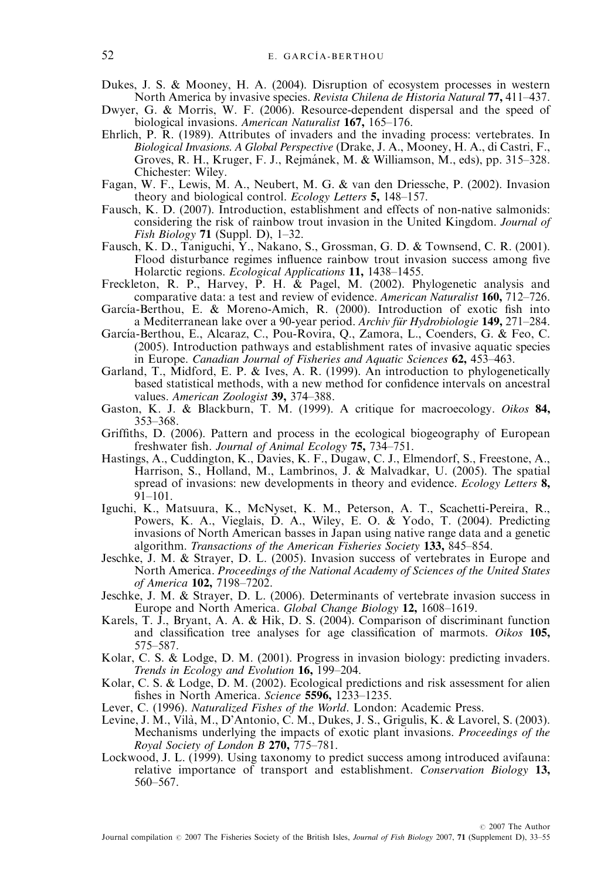- Dukes, J. S. & Mooney, H. A. (2004). Disruption of ecosystem processes in western North America by invasive species. Revista Chilena de Historia Natural 77, 411–437.
- Dwyer, G. & Morris, W. F. (2006). Resource-dependent dispersal and the speed of biological invasions. American Naturalist 167, 165–176.
- Ehrlich, P. R. (1989). Attributes of invaders and the invading process: vertebrates. In Biological Invasions. A Global Perspective (Drake, J. A., Mooney, H. A., di Castri, F., Groves, R. H., Kruger, F. J., Rejmanek, M. & Williamson, M., eds), pp. 315–328. ´ Chichester: Wiley.
- Fagan, W. F., Lewis, M. A., Neubert, M. G. & van den Driessche, P. (2002). Invasion theory and biological control. Ecology Letters 5, 148–157.
- Fausch, K. D. (2007). Introduction, establishment and effects of non-native salmonids: considering the risk of rainbow trout invasion in the United Kingdom. Journal of Fish Biology 71 (Suppl. D),  $1-32$ .
- Fausch, K. D., Taniguchi, Y., Nakano, S., Grossman, G. D. & Townsend, C. R. (2001). Flood disturbance regimes influence rainbow trout invasion success among five Holarctic regions. Ecological Applications 11, 1438–1455.
- Freckleton, R. P., Harvey, P. H. & Pagel, M. (2002). Phylogenetic analysis and comparative data: a test and review of evidence. American Naturalist 160, 712–726.
- García-Berthou, E. & Moreno-Amich, R. (2000). Introduction of exotic fish into a Mediterranean lake over a 90-year period. Archiv für Hydrobiologie  $149, 271-284$ .
- García-Berthou, E., Alcaraz, C., Pou-Rovira, Q., Zamora, L., Coenders, G. & Feo, C. (2005). Introduction pathways and establishment rates of invasive aquatic species in Europe. Canadian Journal of Fisheries and Aquatic Sciences 62, 453–463.
- Garland, T., Midford, E. P. & Ives, A. R. (1999). An introduction to phylogenetically based statistical methods, with a new method for confidence intervals on ancestral values. American Zoologist 39, 374–388.
- Gaston, K. J. & Blackburn, T. M. (1999). A critique for macroecology. Oikos 84, 353–368.
- Griffiths, D. (2006). Pattern and process in the ecological biogeography of European freshwater fish. Journal of Animal Ecology 75, 734–751.
- Hastings, A., Cuddington, K., Davies, K. F., Dugaw, C. J., Elmendorf, S., Freestone, A., Harrison, S., Holland, M., Lambrinos, J. & Malvadkar, U. (2005). The spatial spread of invasions: new developments in theory and evidence. *Ecology Letters* 8,  $91-101.$
- Iguchi, K., Matsuura, K., McNyset, K. M., Peterson, A. T., Scachetti-Pereira, R., Powers, K. A., Vieglais, D. A., Wiley, E. O. & Yodo, T. (2004). Predicting invasions of North American basses in Japan using native range data and a genetic algorithm. Transactions of the American Fisheries Society 133, 845–854.
- Jeschke, J. M. & Strayer, D. L. (2005). Invasion success of vertebrates in Europe and North America. Proceedings of the National Academy of Sciences of the United States of America 102, 7198–7202.
- Jeschke, J. M. & Strayer, D. L. (2006). Determinants of vertebrate invasion success in Europe and North America. Global Change Biology 12, 1608–1619.
- Karels, T. J., Bryant, A. A. & Hik, D. S. (2004). Comparison of discriminant function and classification tree analyses for age classification of marmots. Oikos 105, 575–587.
- Kolar, C. S. & Lodge, D. M. (2001). Progress in invasion biology: predicting invaders. Trends in Ecology and Evolution 16, 199–204.
- Kolar, C. S. & Lodge, D. M. (2002). Ecological predictions and risk assessment for alien fishes in North America. Science 5596, 1233-1235.
- Lever, C. (1996). Naturalized Fishes of the World. London: Academic Press.
- Levine, J. M., Vilà, M., D'Antonio, C. M., Dukes, J. S., Grigulis, K. & Lavorel, S. (2003). Mechanisms underlying the impacts of exotic plant invasions. Proceedings of the Royal Society of London B 270, 775–781.
- Lockwood, J. L. (1999). Using taxonomy to predict success among introduced avifauna: relative importance of transport and establishment. Conservation Biology 13, 560–567.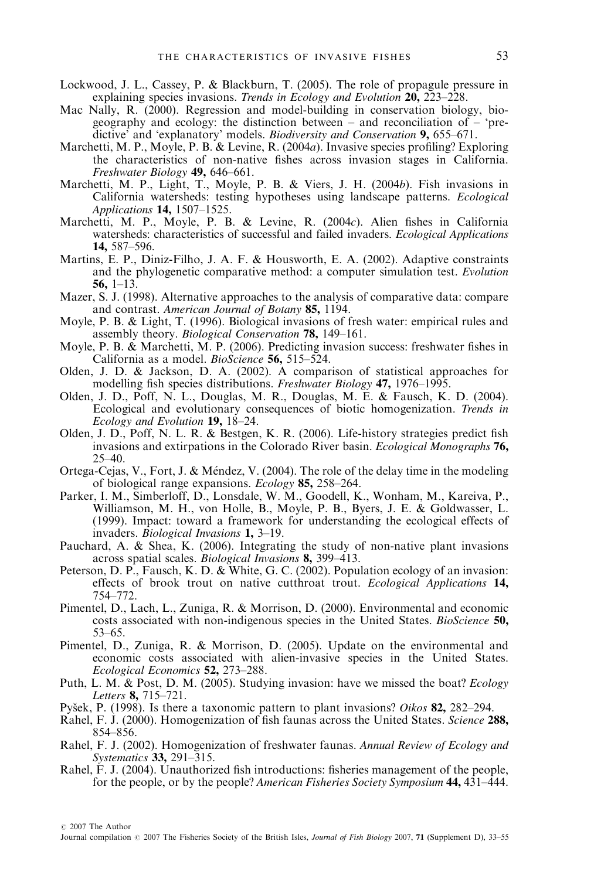- Lockwood, J. L., Cassey, P. & Blackburn, T. (2005). The role of propagule pressure in explaining species invasions. Trends in Ecology and Evolution 20, 223–228.
- Mac Nally, R. (2000). Regression and model-building in conservation biology, biogeography and ecology: the distinction between – and reconciliation of – 'predictive' and 'explanatory' models. Biodiversity and Conservation 9, 655–671.
- Marchetti, M. P., Moyle, P. B. & Levine, R. (2004a). Invasive species profiling? Exploring the characteristics of non-native fishes across invasion stages in California. Freshwater Biology 49, 646–661.
- Marchetti, M. P., Light, T., Moyle, P. B. & Viers, J. H. (2004b). Fish invasions in California watersheds: testing hypotheses using landscape patterns. Ecological Applications 14, 1507–1525.
- Marchetti, M. P., Moyle, P. B. & Levine, R. (2004c). Alien fishes in California watersheds: characteristics of successful and failed invaders. Ecological Applications 14, 587–596.
- Martins, E. P., Diniz-Filho, J. A. F. & Housworth, E. A. (2002). Adaptive constraints and the phylogenetic comparative method: a computer simulation test. Evolution 56,  $1-13$ .
- Mazer, S. J. (1998). Alternative approaches to the analysis of comparative data: compare and contrast. American Journal of Botany 85, 1194.
- Moyle, P. B. & Light, T. (1996). Biological invasions of fresh water: empirical rules and assembly theory. Biological Conservation 78, 149–161.
- Moyle, P. B. & Marchetti, M. P. (2006). Predicting invasion success: freshwater fishes in California as a model. BioScience 56, 515–524.
- Olden, J. D. & Jackson, D. A. (2002). A comparison of statistical approaches for modelling fish species distributions. Freshwater Biology 47, 1976–1995.
- Olden, J. D., Poff, N. L., Douglas, M. R., Douglas, M. E. & Fausch, K. D. (2004). Ecological and evolutionary consequences of biotic homogenization. Trends in Ecology and Evolution 19, 18–24.
- Olden, J. D., Poff, N. L. R. & Bestgen, K. R. (2006). Life-history strategies predict fish invasions and extirpations in the Colorado River basin. Ecological Monographs 76, 25–40.
- Ortega-Cejas, V., Fort, J. & Mendez, V. (2004). The role of the delay time in the modeling of biological range expansions. Ecology 85, 258–264.
- Parker, I. M., Simberloff, D., Lonsdale, W. M., Goodell, K., Wonham, M., Kareiva, P., Williamson, M. H., von Holle, B., Moyle, P. B., Byers, J. E. & Goldwasser, L. (1999). Impact: toward a framework for understanding the ecological effects of invaders. Biological Invasions 1, 3–19.
- Pauchard, A. & Shea, K. (2006). Integrating the study of non-native plant invasions across spatial scales. Biological Invasions 8, 399–413.
- Peterson, D. P., Fausch, K. D. & White, G. C. (2002). Population ecology of an invasion: effects of brook trout on native cutthroat trout. Ecological Applications 14, 754–772.
- Pimentel, D., Lach, L., Zuniga, R. & Morrison, D. (2000). Environmental and economic costs associated with non-indigenous species in the United States. BioScience 50, 53–65.
- Pimentel, D., Zuniga, R. & Morrison, D. (2005). Update on the environmental and economic costs associated with alien-invasive species in the United States. Ecological Economics 52, 273–288.
- Puth, L. M. & Post, D. M. (2005). Studying invasion: have we missed the boat? Ecology Letters 8, 715-721.
- Pyšek, P. (1998). Is there a taxonomic pattern to plant invasions? Oikos  $\frac{82}{252}$ –294.
- Rahel, F. J. (2000). Homogenization of fish faunas across the United States. Science 288, 854–856.
- Rahel, F. J. (2002). Homogenization of freshwater faunas. Annual Review of Ecology and Systematics **33,** 291–315.
- Rahel, F. J. (2004). Unauthorized fish introductions: fisheries management of the people, for the people, or by the people? American Fisheries Society Symposium 44, 431–444.

Journal compilation  $\odot$  2007 The Fisheries Society of the British Isles, *Journal of Fish Biology* 2007, 71 (Supplement D), 33–55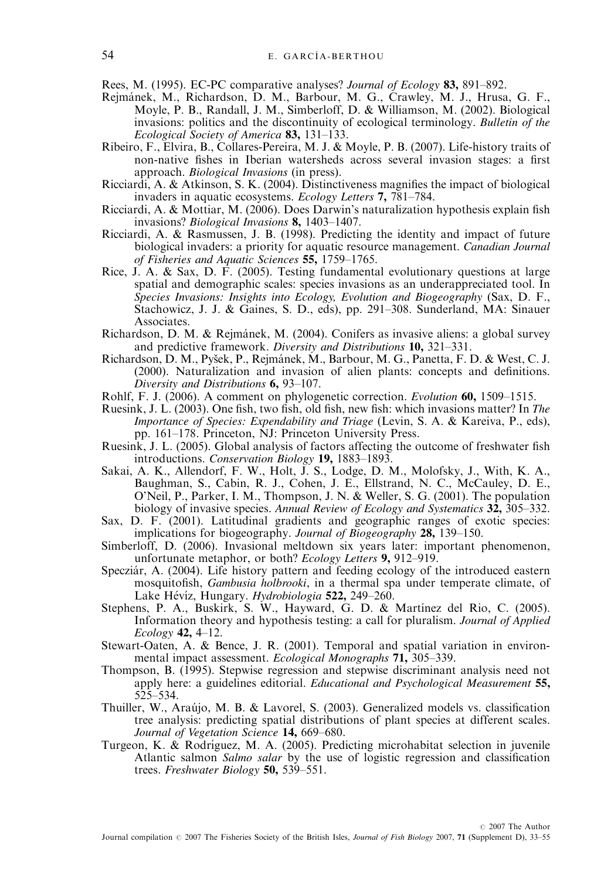Rees, M. (1995). EC-PC comparative analyses? Journal of Ecology 83, 891–892.

- Rejmanek, M., Richardson, D. M., Barbour, M. G., Crawley, M. J., Hrusa, G. F., ´ Moyle, P. B., Randall, J. M., Simberloff, D. & Williamson, M. (2002). Biological invasions: politics and the discontinuity of ecological terminology. Bulletin of the Ecological Society of America 83, 131–133.
- Ribeiro, F., Elvira, B., Collares-Pereira, M. J. & Moyle, P. B. (2007). Life-history traits of non-native fishes in Iberian watersheds across several invasion stages: a first approach. Biological Invasions (in press).
- Ricciardi, A. & Atkinson, S. K. (2004). Distinctiveness magnifies the impact of biological invaders in aquatic ecosystems. Ecology Letters 7, 781–784.
- Ricciardi, A. & Mottiar, M. (2006). Does Darwin's naturalization hypothesis explain fish invasions? Biological Invasions 8, 1403–1407.
- Ricciardi, A. & Rasmussen, J. B. (1998). Predicting the identity and impact of future biological invaders: a priority for aquatic resource management. Canadian Journal of Fisheries and Aquatic Sciences 55, 1759–1765.
- Rice, J. A. & Sax, D. F. (2005). Testing fundamental evolutionary questions at large spatial and demographic scales: species invasions as an underappreciated tool. In Species Invasions: Insights into Ecology, Evolution and Biogeography (Sax, D. F., Stachowicz, J. J. & Gaines, S. D., eds), pp. 291–308. Sunderland, MA: Sinauer Associates.
- Richardson, D. M. & Rejmanek, M. (2004). Conifers as invasive aliens: a global survey ´ and predictive framework. Diversity and Distributions 10, 321–331.
- Richardson, D. M., Pyšek, P., Rejmánek, M., Barbour, M. G., Panetta, F. D. & West, C. J. (2000). Naturalization and invasion of alien plants: concepts and definitions. Diversity and Distributions 6, 93–107.
- Rohlf, F. J. (2006). A comment on phylogenetic correction. Evolution 60, 1509–1515.
- Ruesink, J. L. (2003). One fish, two fish, old fish, new fish: which invasions matter? In The Importance of Species: Expendability and Triage (Levin, S. A. & Kareiva, P., eds), pp. 161–178. Princeton, NJ: Princeton University Press.
- Ruesink, J. L. (2005). Global analysis of factors affecting the outcome of freshwater fish introductions. Conservation Biology 19, 1883–1893.
- Sakai, A. K., Allendorf, F. W., Holt, J. S., Lodge, D. M., Molofsky, J., With, K. A., Baughman, S., Cabin, R. J., Cohen, J. E., Ellstrand, N. C., McCauley, D. E., O'Neil, P., Parker, I. M., Thompson, J. N. & Weller, S. G. (2001). The population biology of invasive species. Annual Review of Ecology and Systematics 32, 305–332.
- Sax, D. F. (2001). Latitudinal gradients and geographic ranges of exotic species: implications for biogeography. Journal of Biogeography 28, 139–150.
- Simberloff, D. (2006). Invasional meltdown six years later: important phenomenon, unfortunate metaphor, or both? Ecology Letters 9, 912–919.
- Specziár, A. (2004). Life history pattern and feeding ecology of the introduced eastern mosquitofish, Gambusia holbrooki, in a thermal spa under temperate climate, of Lake Hévíz, Hungary. Hydrobiologia 522, 249–260.
- Stephens, P. A., Buskirk, S. W., Hayward, G. D. & Martínez del Rio, C. (2005). Information theory and hypothesis testing: a call for pluralism. Journal of Applied Ecology 42, 4–12.
- Stewart-Oaten, A. & Bence, J. R. (2001). Temporal and spatial variation in environmental impact assessment. Ecological Monographs 71, 305–339.
- Thompson, B. (1995). Stepwise regression and stepwise discriminant analysis need not apply here: a guidelines editorial. Educational and Psychological Measurement 55, 525–534.
- Thuiller, W., Araújo, M. B. & Lavorel, S. (2003). Generalized models vs. classification tree analysis: predicting spatial distributions of plant species at different scales. Journal of Vegetation Science 14, 669-680.
- Turgeon, K. & Rodríguez, M. A. (2005). Predicting microhabitat selection in juvenile Atlantic salmon Salmo salar by the use of logistic regression and classification trees. Freshwater Biology 50, 539–551.